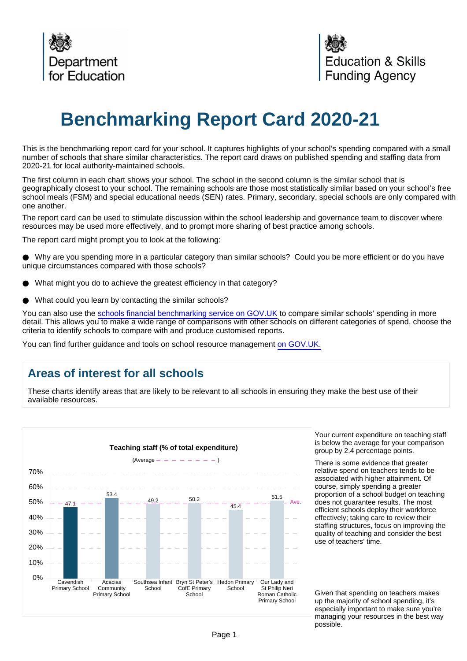

# **Benchmarking Report Card 2020-21**

This is the benchmarking report card for your school. It captures highlights of your school's spending compared with a small number of schools that share similar characteristics. The report card draws on published spending and staffing data from 2020-21 for local authority-maintained schools.

The first column in each chart shows your school. The school in the second column is the similar school that is geographically closest to your school. The remaining schools are those most statistically similar based on your school's free school meals (FSM) and special educational needs (SEN) rates. Primary, secondary, special schools are only compared with one another.

The report card can be used to stimulate discussion within the school leadership and governance team to discover where resources may be used more effectively, and to prompt more sharing of best practice among schools.

The report card might prompt you to look at the following:

Why are you spending more in a particular category than similar schools? Could you be more efficient or do you have unique circumstances compared with those schools?

- What might you do to achieve the greatest efficiency in that category?
- What could you learn by contacting the similar schools?

You can also use the [schools financial benchmarking service on GOV.UK](https://schools-financial-benchmarking.service.gov.uk) to compare similar schools' spending in more detail. This allows you to make a wide range of comparisons with other schools on different categories of spend, choose the criteria to identify schools to compare with and produce customised reports.

You can find further guidance and tools on school resource management [on GOV.UK.](https://www.gov.uk/government/collections/schools-financial-health-and-efficiency)

## **Areas of interest for all schools**

These charts identify areas that are likely to be relevant to all schools in ensuring they make the best use of their available resources.



Your current expenditure on teaching staff is below the average for your comparison group by 2.4 percentage points.

There is some evidence that greater relative spend on teachers tends to be associated with higher attainment. Of course, simply spending a greater proportion of a school budget on teaching does not guarantee results. The most efficient schools deploy their workforce effectively; taking care to review their staffing structures, focus on improving the quality of teaching and consider the best use of teachers' time.

Given that spending on teachers makes up the majority of school spending, it's especially important to make sure you're managing your resources in the best way possible.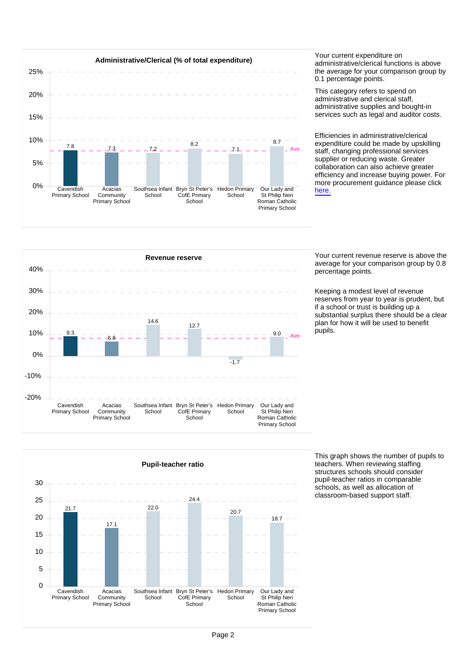

administrative/clerical functions is above the average for your comparison group by 0.1 percentage points.

This category refers to spend on administrative and clerical staff, administrative supplies and bought-in services such as legal and auditor costs.

Efficiencies in administrative/clerical expenditure could be made by upskilling staff, changing professional services supplier or reducing waste. Greater collaboration can also achieve greater efficiency and increase buying power. For more procurement guidance please click [here.](https://www.gov.uk/guidance/buying-for-schools)



average for your comparison group by 0.8 percentage points.

Keeping a modest level of revenue reserves from year to year is prudent, but if a school or trust is building up a substantial surplus there should be a clear plan for how it will be used to benefit pupils.



This graph shows the number of pupils to teachers. When reviewing staffing structures schools should consider pupil-teacher ratios in comparable schools, as well as allocation of classroom-based support staff.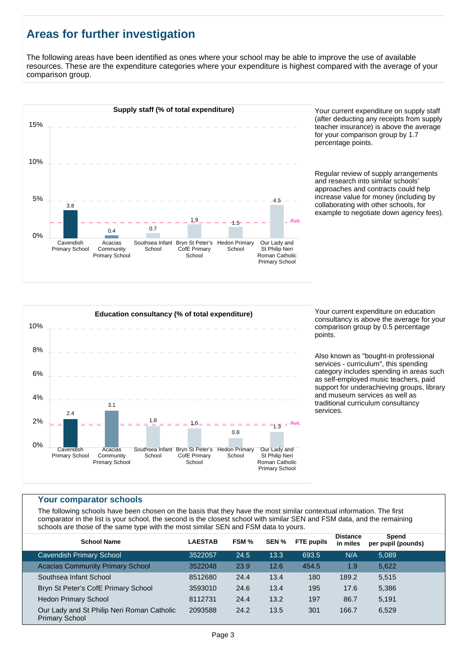# **Areas for further investigation**

The following areas have been identified as ones where your school may be able to improve the use of available resources. These are the expenditure categories where your expenditure is highest compared with the average of your comparison group.



(after deducting any receipts from supply teacher insurance) is above the average for your comparison group by 1.7 percentage points.

Regular review of supply arrangements and research into similar schools' approaches and contracts could help increase value for money (including by collaborating with other schools, for example to negotiate down agency fees).



consultancy is above the average for your comparison group by 0.5 percentage points.

Also known as "bought-in professional services - curriculum", this spending category includes spending in areas such as self-employed music teachers, paid support for underachieving groups, library and museum services as well as traditional curriculum consultancy services.

#### **Your comparator schools**

The following schools have been chosen on the basis that they have the most similar contextual information. The first comparator in the list is your school, the second is the closest school with similar SEN and FSM data, and the remaining schools are those of the same type with the most similar SEN and FSM data to yours.

| <b>School Name</b>                                                  | <b>LAESTAB</b> | FSM % | SEN % | <b>FTE pupils</b> | <b>Distance</b><br>in miles | Spend<br>per pupil (pounds) |  |
|---------------------------------------------------------------------|----------------|-------|-------|-------------------|-----------------------------|-----------------------------|--|
| <b>Cavendish Primary School</b>                                     | 3522057        | 24.5  | 13.3  | 693.5             | N/A                         | 5.089                       |  |
| <b>Acacias Community Primary School</b>                             | 3522048        | 23.9  | 12.6  | 454.5             | 1.9                         | 5,622                       |  |
| Southsea Infant School                                              | 8512680        | 24.4  | 13.4  | 180               | 189.2                       | 5,515                       |  |
| Bryn St Peter's CofE Primary School                                 | 3593010        | 24.6  | 13.4  | 195               | 17.6                        | 5,386                       |  |
| <b>Hedon Primary School</b>                                         | 8112731        | 24.4  | 13.2  | 197               | 86.7                        | 5,191                       |  |
| Our Lady and St Philip Neri Roman Catholic<br><b>Primary School</b> | 2093588        | 24.2  | 13.5  | 301               | 166.7                       | 6,529                       |  |